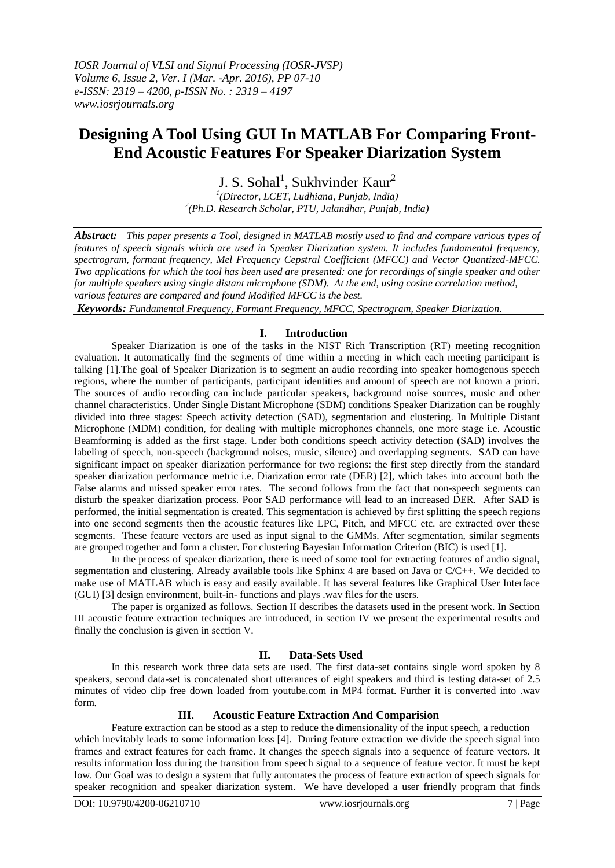# **Designing A Tool Using GUI In MATLAB For Comparing Front-End Acoustic Features For Speaker Diarization System**

J. S. Sohal<sup>1</sup>, Sukhvinder Kaur<sup>2</sup>

*1 (Director, LCET, Ludhiana, Punjab, India) 2 (Ph.D. Research Scholar, PTU, Jalandhar, Punjab, India)*

*Abstract: This paper presents a Tool, designed in MATLAB mostly used to find and compare various types of features of speech signals which are used in Speaker Diarization system. It includes fundamental frequency, spectrogram, formant frequency, Mel Frequency Cepstral Coefficient (MFCC) and Vector Quantized-MFCC. Two applications for which the tool has been used are presented: one for recordings of single speaker and other for multiple speakers using single distant microphone (SDM). At the end, using cosine correlation method, various features are compared and found Modified MFCC is the best. Keywords: Fundamental Frequency, Formant Frequency, MFCC, Spectrogram, Speaker Diarization.*

## **I. Introduction**

Speaker Diarization is one of the tasks in the NIST Rich Transcription (RT) meeting recognition evaluation. It automatically find the segments of time within a meeting in which each meeting participant is talking [1].The goal of Speaker Diarization is to segment an audio recording into speaker homogenous speech regions, where the number of participants, participant identities and amount of speech are not known a priori. The sources of audio recording can include particular speakers, background noise sources, music and other channel characteristics. Under Single Distant Microphone (SDM) conditions Speaker Diarization can be roughly divided into three stages: Speech activity detection (SAD), segmentation and clustering. In Multiple Distant Microphone (MDM) condition, for dealing with multiple microphones channels, one more stage i.e. Acoustic Beamforming is added as the first stage. Under both conditions speech activity detection (SAD) involves the labeling of speech, non-speech (background noises, music, silence) and overlapping segments. SAD can have significant impact on speaker diarization performance for two regions: the first step directly from the standard speaker diarization performance metric i.e. Diarization error rate (DER) [2], which takes into account both the False alarms and missed speaker error rates. The second follows from the fact that non-speech segments can disturb the speaker diarization process. Poor SAD performance will lead to an increased DER. After SAD is performed, the initial segmentation is created. This segmentation is achieved by first splitting the speech regions into one second segments then the acoustic features like LPC, Pitch, and MFCC etc. are extracted over these segments. These feature vectors are used as input signal to the GMMs. After segmentation, similar segments are grouped together and form a cluster. For clustering Bayesian Information Criterion (BIC) is used [1].

In the process of speaker diarization, there is need of some tool for extracting features of audio signal, segmentation and clustering. Already available tools like Sphinx 4 are based on Java or C/C++. We decided to make use of MATLAB which is easy and easily available. It has several features like Graphical User Interface (GUI) [3] design environment, built-in- functions and plays .wav files for the users.

The paper is organized as follows. Section II describes the datasets used in the present work. In Section III acoustic feature extraction techniques are introduced, in section IV we present the experimental results and finally the conclusion is given in section V.

## **II. Data-Sets Used**

In this research work three data sets are used. The first data-set contains single word spoken by 8 speakers, second data-set is concatenated short utterances of eight speakers and third is testing data-set of 2.5 minutes of video clip free down loaded from youtube.com in MP4 format. Further it is converted into .wav form.

# **III. Acoustic Feature Extraction And Comparision**

Feature extraction can be stood as a step to reduce the dimensionality of the input speech, a reduction which inevitably leads to some information loss [4]. During feature extraction we divide the speech signal into frames and extract features for each frame. It changes the speech signals into a sequence of feature vectors. It results information loss during the transition from speech signal to a sequence of feature vector. It must be kept low. Our Goal was to design a system that fully automates the process of feature extraction of speech signals for speaker recognition and speaker diarization system. We have developed a user friendly program that finds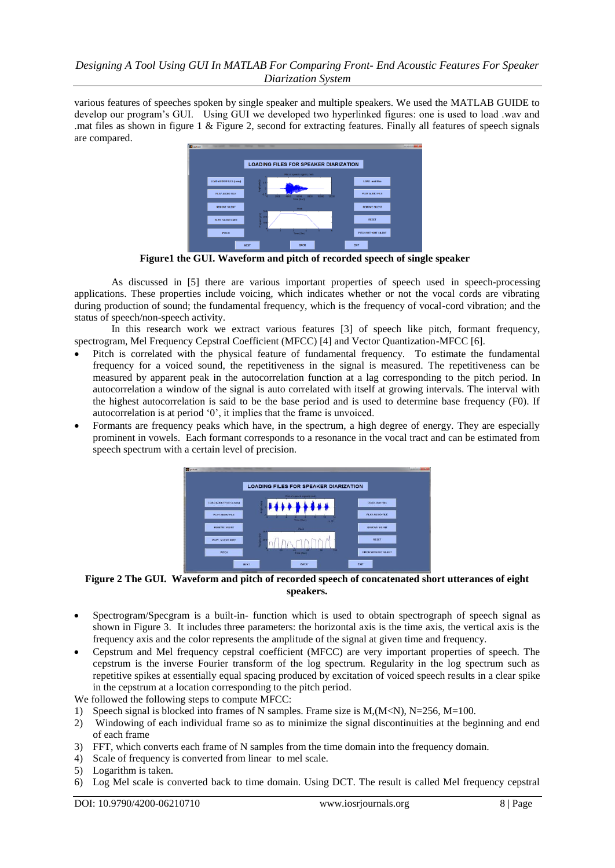various features of speeches spoken by single speaker and multiple speakers. We used the MATLAB GUIDE to develop our program"s GUI. Using GUI we developed two hyperlinked figures: one is used to load .wav and .mat files as shown in figure 1 & Figure 2, second for extracting features. Finally all features of speech signals are compared.



**Figure1 the GUI. Waveform and pitch of recorded speech of single speaker**

As discussed in [5] there are various important properties of speech used in speech-processing applications. These properties include voicing, which indicates whether or not the vocal cords are vibrating during production of sound; the fundamental frequency, which is the frequency of vocal-cord vibration; and the status of speech/non-speech activity.

In this research work we extract various features [3] of speech like pitch, formant frequency, spectrogram, Mel Frequency Cepstral Coefficient (MFCC) [4] and Vector Quantization-MFCC [6].

- Pitch is correlated with the physical feature of fundamental frequency. To estimate the fundamental frequency for a voiced sound, the repetitiveness in the signal is measured. The repetitiveness can be measured by apparent peak in the autocorrelation function at a lag corresponding to the pitch period. In autocorrelation a window of the signal is auto correlated with itself at growing intervals. The interval with the highest autocorrelation is said to be the base period and is used to determine base frequency (F0). If autocorrelation is at period "0", it implies that the frame is unvoiced.
- Formants are frequency peaks which have, in the spectrum, a high degree of energy. They are especially prominent in vowels. Each formant corresponds to a resonance in the vocal tract and can be estimated from speech spectrum with a certain level of precision.



**Figure 2 The GUI. Waveform and pitch of recorded speech of concatenated short utterances of eight speakers.**

- Spectrogram/Specgram is a built-in- function which is used to obtain spectrograph of speech signal as shown in Figure 3. It includes three parameters: the horizontal axis is the time axis, the vertical axis is the frequency axis and the color represents the amplitude of the signal at given time and frequency.
- Cepstrum and Mel frequency cepstral coefficient (MFCC) are very important properties of speech. The cepstrum is the inverse Fourier transform of the log spectrum. Regularity in the log spectrum such as repetitive spikes at essentially equal spacing produced by excitation of voiced speech results in a clear spike in the cepstrum at a location corresponding to the pitch period.

We followed the following steps to compute MFCC:

- 1) Speech signal is blocked into frames of N samples. Frame size is M,(M<N), N=256, M=100.
- 2) Windowing of each individual frame so as to minimize the signal discontinuities at the beginning and end of each frame
- 3) FFT, which converts each frame of N samples from the time domain into the frequency domain.
- 4) Scale of frequency is converted from linear to mel scale.
- 5) Logarithm is taken.
- 6) Log Mel scale is converted back to time domain. Using DCT. The result is called Mel frequency cepstral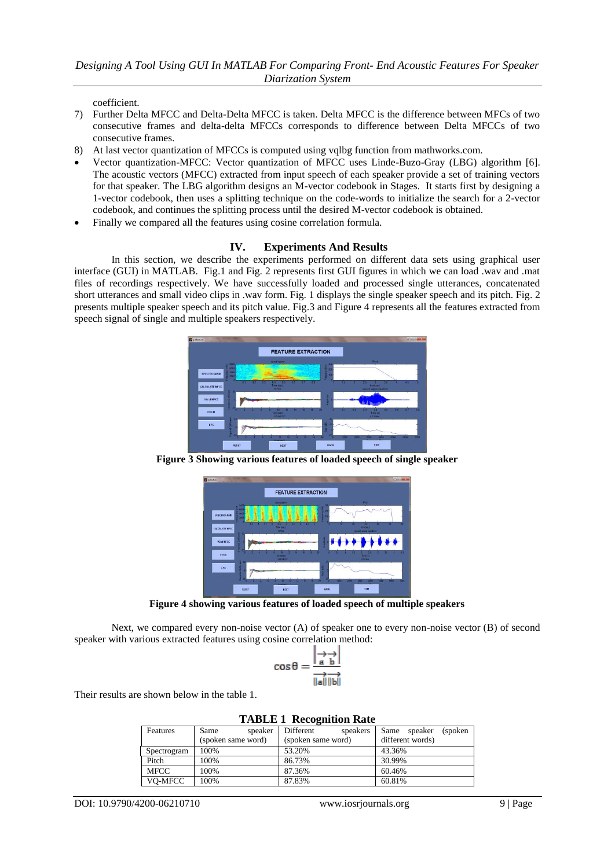coefficient.

- 7) Further Delta MFCC and Delta-Delta MFCC is taken. Delta MFCC is the difference between MFCs of two consecutive frames and delta-delta MFCCs corresponds to difference between Delta MFCCs of two consecutive frames.
- 8) At last vector quantization of MFCCs is computed using vqlbg function from mathworks.com.
- Vector quantization-MFCC: Vector quantization of MFCC uses Linde-Buzo-Gray (LBG) algorithm [6]. The acoustic vectors (MFCC) extracted from input speech of each speaker provide a set of training vectors for that speaker. The LBG algorithm designs an M-vector codebook in Stages. It starts first by designing a 1-vector codebook, then uses a splitting technique on the code-words to initialize the search for a 2-vector codebook, and continues the splitting process until the desired M-vector codebook is obtained.
- Finally we compared all the features using cosine correlation formula.

### **IV. Experiments And Results**

In this section, we describe the experiments performed on different data sets using graphical user interface (GUI) in MATLAB. Fig.1 and Fig. 2 represents first GUI figures in which we can load .wav and .mat files of recordings respectively. We have successfully loaded and processed single utterances, concatenated short utterances and small video clips in .wav form. Fig. 1 displays the single speaker speech and its pitch. Fig. 2 presents multiple speaker speech and its pitch value. Fig.3 and Figure 4 represents all the features extracted from speech signal of single and multiple speakers respectively.



**Figure 3 Showing various features of loaded speech of single speaker**



**Figure 4 showing various features of loaded speech of multiple speakers**

Next, we compared every non-noise vector (A) of speaker one to every non-noise vector (B) of second speaker with various extracted features using cosine correlation method:

$$
\cos \theta = \frac{\left| \frac{\rightarrow}{a} \frac{\rightarrow}{b} \right|}{\left| \frac{\rightarrow}{a} \right| \left| \frac{\rightarrow}{b} \right|}
$$

Their results are shown below in the table 1.

**TABLE 1 Recognition Rate**

| Features    | speaker<br>Same    | Different<br>speakers | (spoken)<br>speaker<br>Same |
|-------------|--------------------|-----------------------|-----------------------------|
|             | (spoken same word) | (spoken same word)    | different words)            |
| Spectrogram | 100%               | 53.20%                | 43.36%                      |
| Pitch       | 100%               | 86.73%                | 30.99%                      |
| MFCC        | 100%               | 87.36%                | 60.46%                      |
| VO-MFCC     | 100%               | 87.83%                | 60.81%                      |